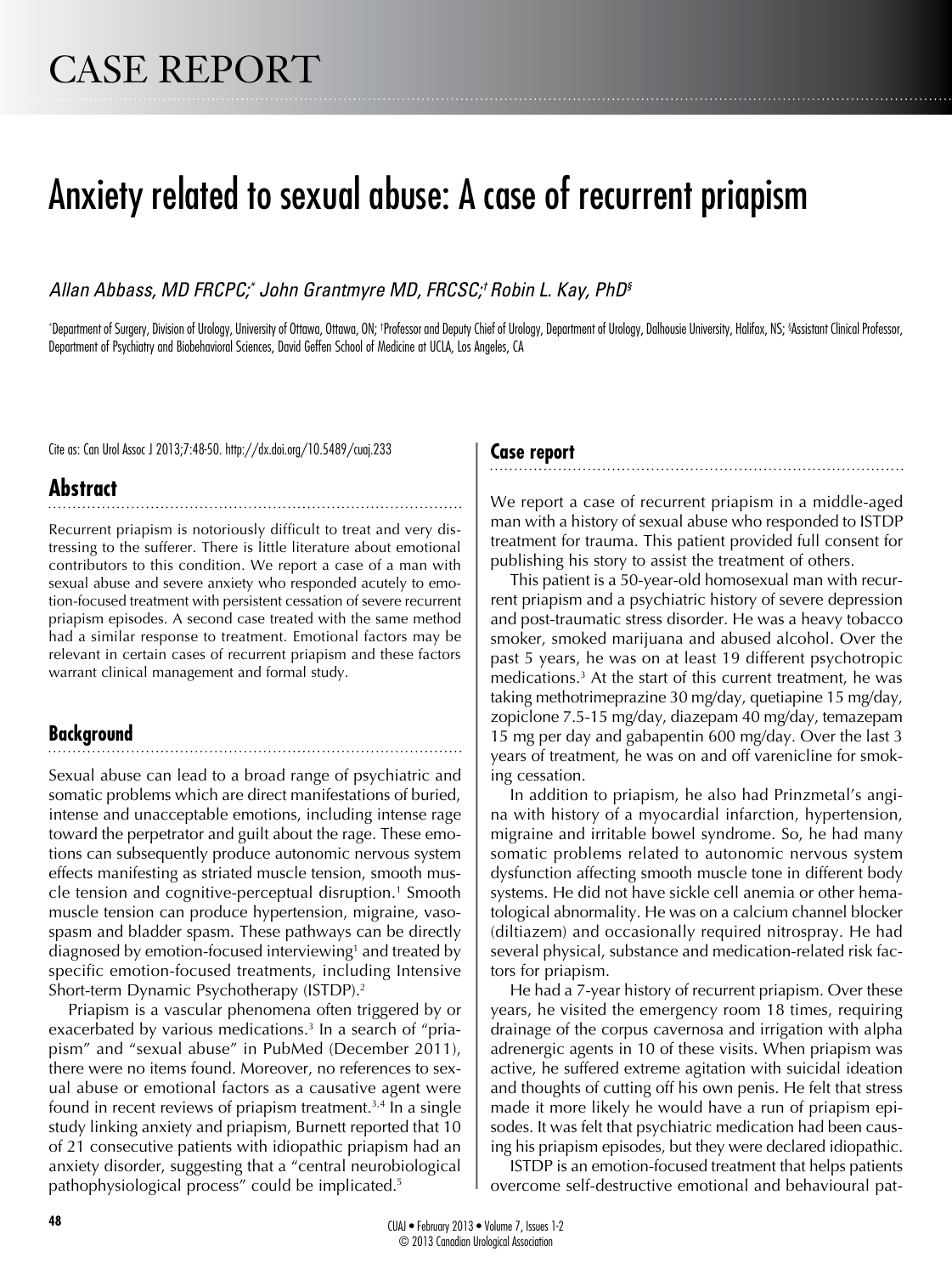# Anxiety related to sexual abuse: A case of recurrent priapism

*Allan Abbass, MD FRCPC;\* John Grantmyre MD, FRCSC;† Robin L. Kay, PhD§*

\* Department of Surgery, Division of Urology, University of Ottawa, Ottawa, ON; † Professor and Deputy Chief of Urology, Department of Urology, Dalhousie University, Halifax, NS; § Assistant Clinical Professor, Department of Psychiatry and Biobehavioral Sciences, David Geffen School of Medicine at UCLA, Los Angeles, CA

Cite as: Can Urol Assoc J 2013;7:48-50. http://dx.doi.org/10.5489/cuaj.233

### **Case report**

# **Abstract**

Recurrent priapism is notoriously difficult to treat and very distressing to the sufferer. There is little literature about emotional contributors to this condition. We report a case of a man with sexual abuse and severe anxiety who responded acutely to emotion-focused treatment with persistent cessation of severe recurrent priapism episodes. A second case treated with the same method had a similar response to treatment. Emotional factors may be relevant in certain cases of recurrent priapism and these factors warrant clinical management and formal study.

## **Background**

Sexual abuse can lead to a broad range of psychiatric and somatic problems which are direct manifestations of buried, intense and unacceptable emotions, including intense rage toward the perpetrator and guilt about the rage. These emotions can subsequently produce autonomic nervous system effects manifesting as striated muscle tension, smooth muscle tension and cognitive-perceptual disruption.<sup>1</sup> Smooth muscle tension can produce hypertension, migraine, vasospasm and bladder spasm. These pathways can be directly diagnosed by emotion-focused interviewing<sup>1</sup> and treated by specific emotion-focused treatments, including Intensive Short-term Dynamic Psychotherapy (ISTDP).2

Priapism is a vascular phenomena often triggered by or exacerbated by various medications.<sup>3</sup> In a search of "priapism" and "sexual abuse" in PubMed (December 2011), there were no items found. Moreover, no references to sexual abuse or emotional factors as a causative agent were found in recent reviews of priapism treatment.<sup>3,4</sup> In a single study linking anxiety and priapism, Burnett reported that 10 of 21 consecutive patients with idiopathic priapism had an anxiety disorder, suggesting that a "central neurobiological pathophysiological process" could be implicated.<sup>5</sup>

We report a case of recurrent priapism in a middle-aged man with a history of sexual abuse who responded to ISTDP treatment for trauma. This patient provided full consent for publishing his story to assist the treatment of others.

This patient is a 50-year-old homosexual man with recurrent priapism and a psychiatric history of severe depression and post-traumatic stress disorder. He was a heavy tobacco smoker, smoked marijuana and abused alcohol. Over the past 5 years, he was on at least 19 different psychotropic medications.3 At the start of this current treatment, he was taking methotrimeprazine 30 mg/day, quetiapine 15 mg/day, zopiclone 7.5-15 mg/day, diazepam 40 mg/day, temazepam 15 mg per day and gabapentin 600 mg/day. Over the last 3 years of treatment, he was on and off varenicline for smoking cessation.

In addition to priapism, he also had Prinzmetal's angina with history of a myocardial infarction, hypertension, migraine and irritable bowel syndrome. So, he had many somatic problems related to autonomic nervous system dysfunction affecting smooth muscle tone in different body systems. He did not have sickle cell anemia or other hematological abnormality. He was on a calcium channel blocker (diltiazem) and occasionally required nitrospray. He had several physical, substance and medication-related risk factors for priapism.

He had a 7-year history of recurrent priapism. Over these years, he visited the emergency room 18 times, requiring drainage of the corpus cavernosa and irrigation with alpha adrenergic agents in 10 of these visits. When priapism was active, he suffered extreme agitation with suicidal ideation and thoughts of cutting off his own penis. He felt that stress made it more likely he would have a run of priapism episodes. It was felt that psychiatric medication had been causing his priapism episodes, but they were declared idiopathic.

ISTDP is an emotion-focused treatment that helps patients overcome self-destructive emotional and behavioural pat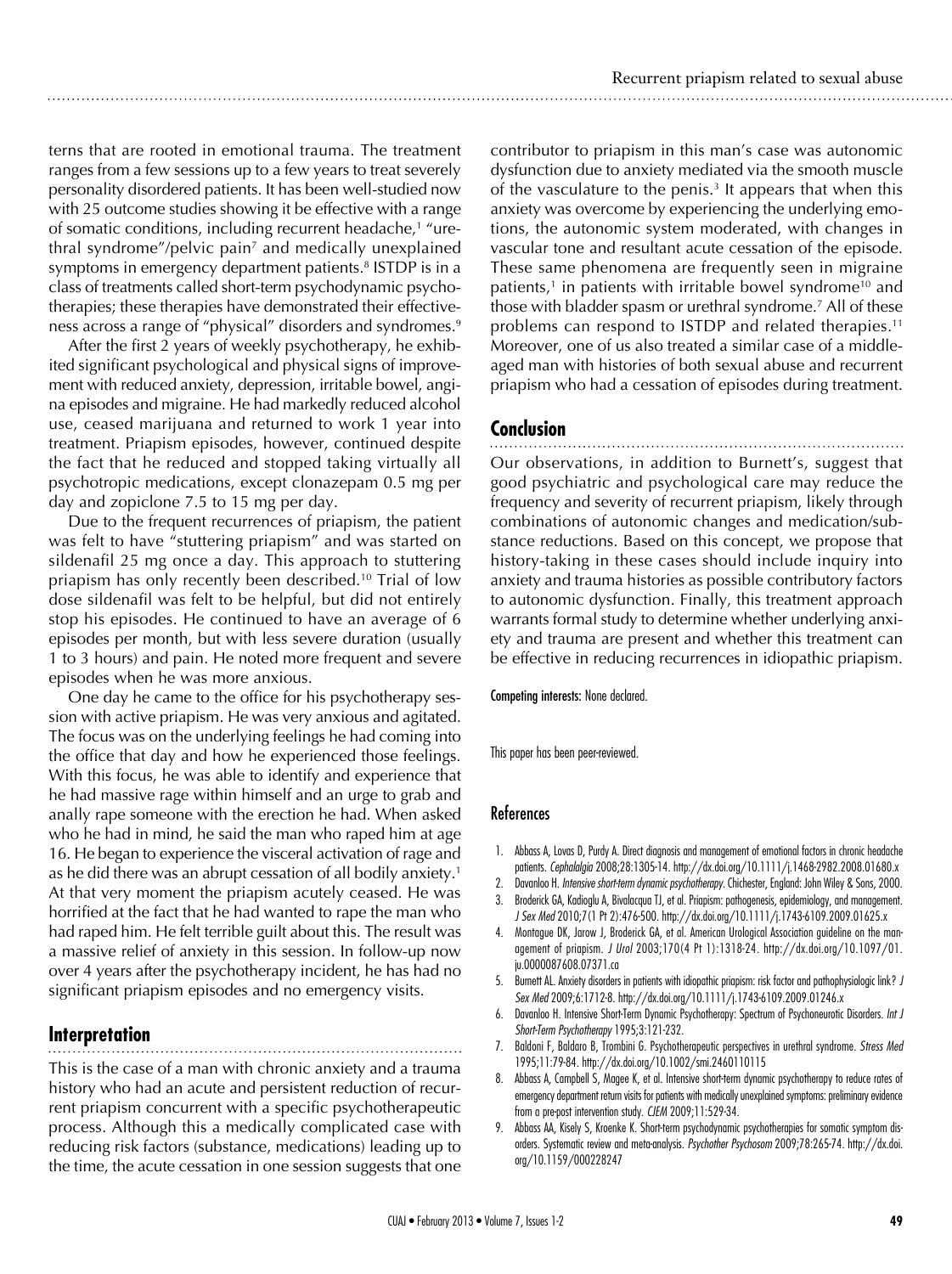terns that are rooted in emotional trauma. The treatment ranges from a few sessions up to a few years to treat severely personality disordered patients. It has been well-studied now with 25 outcome studies showing it be effective with a range of somatic conditions, including recurrent headache,<sup>1</sup> "urethral syndrome"/pelvic pain<sup>7</sup> and medically unexplained symptoms in emergency department patients.<sup>8</sup> ISTDP is in a class of treatments called short-term psychodynamic psychotherapies; these therapies have demonstrated their effectiveness across a range of "physical" disorders and syndromes.<sup>9</sup>

After the first 2 years of weekly psychotherapy, he exhibited significant psychological and physical signs of improvement with reduced anxiety, depression, irritable bowel, angina episodes and migraine. He had markedly reduced alcohol use, ceased marijuana and returned to work 1 year into treatment. Priapism episodes, however, continued despite the fact that he reduced and stopped taking virtually all psychotropic medications, except clonazepam 0.5 mg per day and zopiclone 7.5 to 15 mg per day.

Due to the frequent recurrences of priapism, the patient was felt to have "stuttering priapism" and was started on sildenafil 25 mg once a day. This approach to stuttering priapism has only recently been described.10 Trial of low dose sildenafil was felt to be helpful, but did not entirely stop his episodes. He continued to have an average of 6 episodes per month, but with less severe duration (usually 1 to 3 hours) and pain. He noted more frequent and severe episodes when he was more anxious.

One day he came to the office for his psychotherapy session with active priapism. He was very anxious and agitated. The focus was on the underlying feelings he had coming into the office that day and how he experienced those feelings. With this focus, he was able to identify and experience that he had massive rage within himself and an urge to grab and anally rape someone with the erection he had. When asked who he had in mind, he said the man who raped him at age 16. He began to experience the visceral activation of rage and as he did there was an abrupt cessation of all bodily anxiety.<sup>1</sup> At that very moment the priapism acutely ceased. He was horrified at the fact that he had wanted to rape the man who had raped him. He felt terrible guilt about this. The result was a massive relief of anxiety in this session. In follow-up now over 4 years after the psychotherapy incident, he has had no significant priapism episodes and no emergency visits.

## **Interpretation**

This is the case of a man with chronic anxiety and a trauma history who had an acute and persistent reduction of recurrent priapism concurrent with a specific psychotherapeutic process. Although this a medically complicated case with reducing risk factors (substance, medications) leading up to the time, the acute cessation in one session suggests that one contributor to priapism in this man's case was autonomic dysfunction due to anxiety mediated via the smooth muscle of the vasculature to the penis.<sup>3</sup> It appears that when this anxiety was overcome by experiencing the underlying emotions, the autonomic system moderated, with changes in vascular tone and resultant acute cessation of the episode. These same phenomena are frequently seen in migraine patients,<sup>1</sup> in patients with irritable bowel syndrome<sup>10</sup> and those with bladder spasm or urethral syndrome.7 All of these problems can respond to ISTDP and related therapies.<sup>11</sup> Moreover, one of us also treated a similar case of a middleaged man with histories of both sexual abuse and recurrent priapism who had a cessation of episodes during treatment.

## **Conclusion**

Our observations, in addition to Burnett's, suggest that good psychiatric and psychological care may reduce the frequency and severity of recurrent priapism, likely through combinations of autonomic changes and medication/substance reductions. Based on this concept, we propose that history-taking in these cases should include inquiry into anxiety and trauma histories as possible contributory factors to autonomic dysfunction. Finally, this treatment approach warrants formal study to determine whether underlying anxiety and trauma are present and whether this treatment can be effective in reducing recurrences in idiopathic priapism.

Competing interests: None declared.

This paper has been peer-reviewed.

### References

- 1. Abbass A, Lovas D, Purdy A. Direct diagnosis and management of emotional factors in chronic headache patients. *Cephalalgia* 2008;28:1305-14. http://dx.doi.org/10.1111/j.1468-2982.2008.01680.x
- 2. Davanloo H. *Intensive short-term dynamic psychotherapy*. Chichester, England: John Wiley & Sons, 2000.
- 3. Broderick GA, Kadioglu A, Bivalacqua TJ, et al. Priapism: pathogenesis, epidemiology, and management. *J Sex Med* 2010;7(1 Pt 2):476-500. http://dx.doi.org/10.1111/j.1743-6109.2009.01625.x
- 4. Montague DK, Jarow J, Broderick GA, et al. American Urological Association guideline on the management of priapism. *J Urol* 2003;170(4 Pt 1):1318-24. http://dx.doi.org/10.1097/01. ju.0000087608.07371.ca
- 5. Burnett AL. Anxiety disorders in patients with idiopathic priapism: risk factor and pathophysiologic link? *J Sex Med* 2009;6:1712-8. http://dx.doi.org/10.1111/j.1743-6109.2009.01246.x
- 6. Davanloo H. Intensive Short-Term Dynamic Psychotherapy: Spectrum of Psychoneurotic Disorders. *Int J Short-Term Psychotherapy* 1995;3:121-232.
- 7. Baldoni F, Baldaro B, Trombini G. Psychotherapeutic perspectives in urethral syndrome. *Stress Med* 1995;11:79-84. http://dx.doi.org/10.1002/smi.2460110115
- 8. Abbass A, Campbell S, Magee K, et al. Intensive short-term dynamic psychotherapy to reduce rates of emergency department return visits for patients with medically unexplained symptoms: preliminary evidence from a pre-post intervention study. *CJEM* 2009;11:529-34.
- 9. Abbass AA, Kisely S, Kroenke K. Short-term psychodynamic psychotherapies for somatic symptom disorders. Systematic review and meta-analysis. *Psychother Psychosom* 2009;78:265-74. http://dx.doi. org/10.1159/000228247